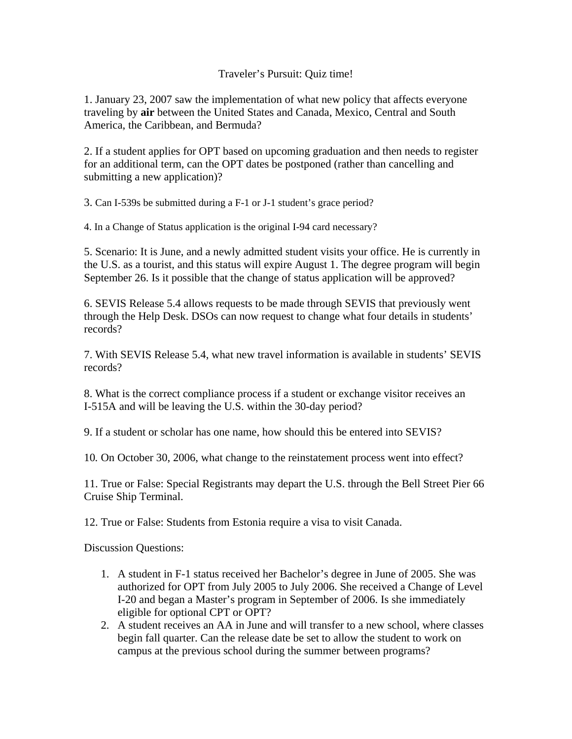## Traveler's Pursuit: Quiz time!

1. January 23, 2007 saw the implementation of what new policy that affects everyone traveling by **air** between the United States and Canada, Mexico, Central and South America, the Caribbean, and Bermuda?

2. If a student applies for OPT based on upcoming graduation and then needs to register for an additional term, can the OPT dates be postponed (rather than cancelling and submitting a new application)?

3. Can I-539s be submitted during a F-1 or J-1 student's grace period?

4. In a Change of Status application is the original I-94 card necessary?

5. Scenario: It is June, and a newly admitted student visits your office. He is currently in the U.S. as a tourist, and this status will expire August 1. The degree program will begin September 26. Is it possible that the change of status application will be approved?

6. SEVIS Release 5.4 allows requests to be made through SEVIS that previously went through the Help Desk. DSOs can now request to change what four details in students' records?

7. With SEVIS Release 5.4, what new travel information is available in students' SEVIS records?

8. What is the correct compliance process if a student or exchange visitor receives an I-515A and will be leaving the U.S. within the 30-day period?

9. If a student or scholar has one name, how should this be entered into SEVIS?

10*.* On October 30, 2006, what change to the reinstatement process went into effect?

11. True or False: Special Registrants may depart the U.S. through the Bell Street Pier 66 Cruise Ship Terminal.

12. True or False: Students from Estonia require a visa to visit Canada.

Discussion Questions:

- 1. A student in F-1 status received her Bachelor's degree in June of 2005. She was authorized for OPT from July 2005 to July 2006. She received a Change of Level I-20 and began a Master's program in September of 2006. Is she immediately eligible for optional CPT or OPT?
- 2. A student receives an AA in June and will transfer to a new school, where classes begin fall quarter. Can the release date be set to allow the student to work on campus at the previous school during the summer between programs?